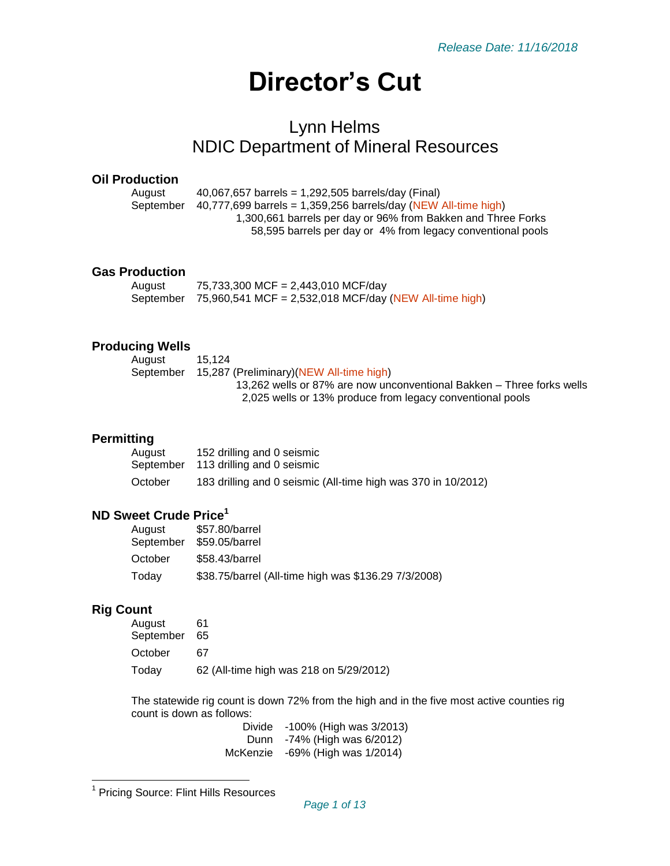# **Director's Cut**

# Lynn Helms NDIC Department of Mineral Resources

#### **Oil Production**

August 40,067,657 barrels = 1,292,505 barrels/day (Final) September  $40,777,699$  barrels = 1,359,256 barrels/day (NEW All-time high) 1,300,661 barrels per day or 96% from Bakken and Three Forks 58,595 barrels per day or 4% from legacy conventional pools

#### **Gas Production**

| August | 75,733,300 MCF = 2,443,010 MCF/day                               |
|--------|------------------------------------------------------------------|
|        | September 75,960,541 MCF = 2,532,018 MCF/day (NEW All-time high) |

#### **Producing Wells**

| August    | 15.124                                                                |
|-----------|-----------------------------------------------------------------------|
| September | 15,287 (Preliminary)(NEW All-time high)                               |
|           | 13,262 wells or 87% are now unconventional Bakken – Three forks wells |
|           | 2,025 wells or 13% produce from legacy conventional pools             |

#### **Permitting**

| August    | 152 drilling and 0 seismic                                    |
|-----------|---------------------------------------------------------------|
| September | 113 drilling and 0 seismic                                    |
| October   | 183 drilling and 0 seismic (All-time high was 370 in 10/2012) |

# **ND Sweet Crude Price<sup>1</sup>**

| August<br>September | \$57.80/barrel<br>\$59.05/barrel                     |
|---------------------|------------------------------------------------------|
| October             | \$58.43/barrel                                       |
| Today               | \$38.75/barrel (All-time high was \$136.29 7/3/2008) |

#### **Rig Count**

 $\overline{\phantom{a}}$ 

| August       |                                         |
|--------------|-----------------------------------------|
| September 65 |                                         |
| October      | 67                                      |
| Todav        | 62 (All-time high was 218 on 5/29/2012) |

The statewide rig count is down 72% from the high and in the five most active counties rig count is down as follows:

> Divide -100% (High was 3/2013) Dunn -74% (High was 6/2012) McKenzie -69% (High was 1/2014)

<sup>&</sup>lt;sup>1</sup> Pricing Source: Flint Hills Resources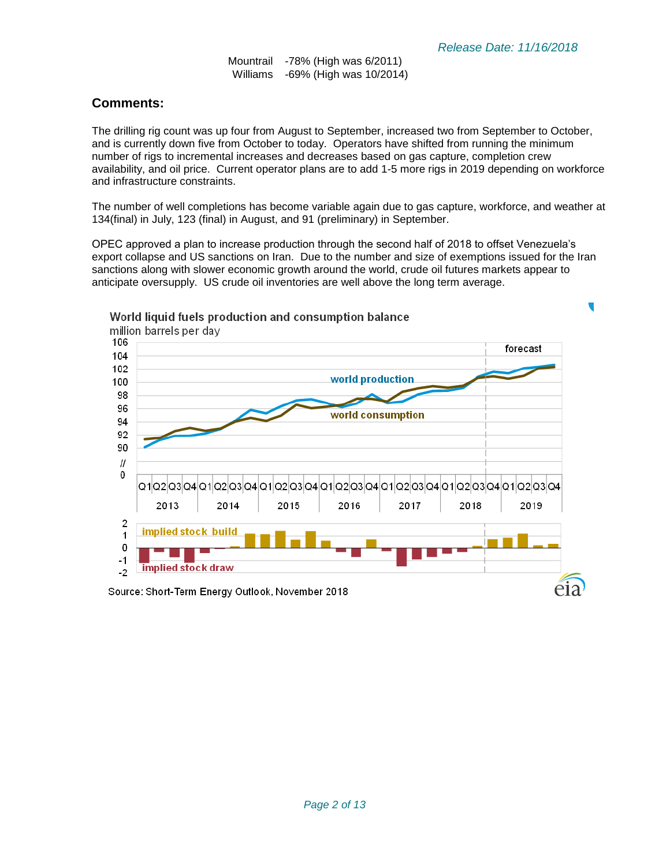Mountrail -78% (High was 6/2011) Williams -69% (High was 10/2014)

## **Comments:**

The drilling rig count was up four from August to September, increased two from September to October, and is currently down five from October to today. Operators have shifted from running the minimum number of rigs to incremental increases and decreases based on gas capture, completion crew availability, and oil price. Current operator plans are to add 1-5 more rigs in 2019 depending on workforce and infrastructure constraints.

The number of well completions has become variable again due to gas capture, workforce, and weather at 134(final) in July, 123 (final) in August, and 91 (preliminary) in September.

OPEC approved a plan to increase production through the second half of 2018 to offset Venezuela's export collapse and US sanctions on Iran. Due to the number and size of exemptions issued for the Iran sanctions along with slower economic growth around the world, crude oil futures markets appear to anticipate oversupply. US crude oil inventories are well above the long term average.



#### World liquid fuels production and consumption balance

Source: Short-Term Energy Outlook, November 2018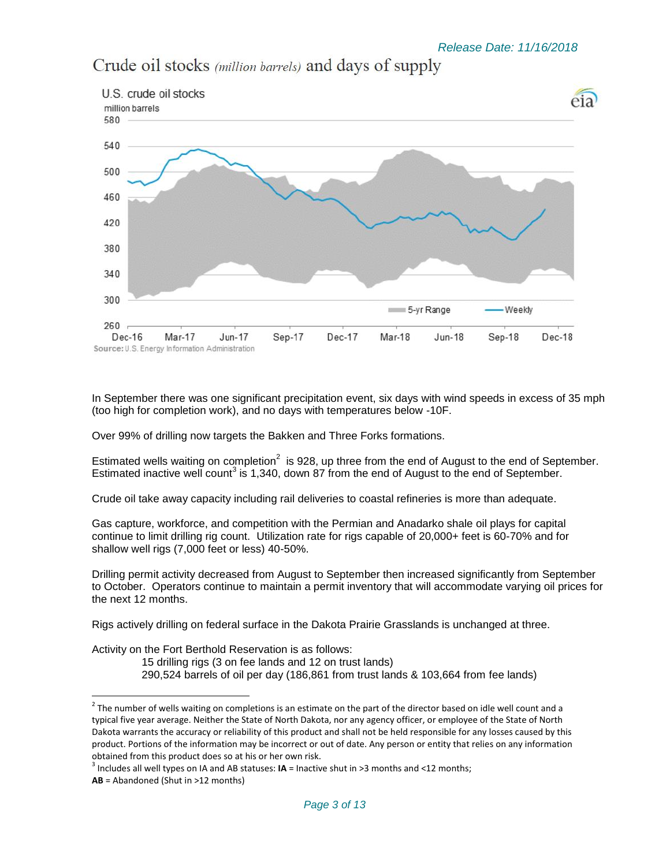

Crude oil stocks (million barrels) and days of supply

In September there was one significant precipitation event, six days with wind speeds in excess of 35 mph (too high for completion work), and no days with temperatures below -10F.

Over 99% of drilling now targets the Bakken and Three Forks formations.

Estimated wells waiting on completion<sup>2</sup> is 928, up three from the end of August to the end of September. Estimated inactive well count<sup>3</sup> is 1,340, down 87 from the end of August to the end of September.

Crude oil take away capacity including rail deliveries to coastal refineries is more than adequate.

Gas capture, workforce, and competition with the Permian and Anadarko shale oil plays for capital continue to limit drilling rig count. Utilization rate for rigs capable of 20,000+ feet is 60-70% and for shallow well rigs (7,000 feet or less) 40-50%.

Drilling permit activity decreased from August to September then increased significantly from September to October. Operators continue to maintain a permit inventory that will accommodate varying oil prices for the next 12 months.

Rigs actively drilling on federal surface in the Dakota Prairie Grasslands is unchanged at three.

Activity on the Fort Berthold Reservation is as follows:

15 drilling rigs (3 on fee lands and 12 on trust lands) 290,524 barrels of oil per day (186,861 from trust lands & 103,664 from fee lands)

l

 $^2$  The number of wells waiting on completions is an estimate on the part of the director based on idle well count and a typical five year average. Neither the State of North Dakota, nor any agency officer, or employee of the State of North Dakota warrants the accuracy or reliability of this product and shall not be held responsible for any losses caused by this product. Portions of the information may be incorrect or out of date. Any person or entity that relies on any information obtained from this product does so at his or her own risk.

<sup>3</sup> Includes all well types on IA and AB statuses: **IA** = Inactive shut in >3 months and <12 months;

**AB** = Abandoned (Shut in >12 months)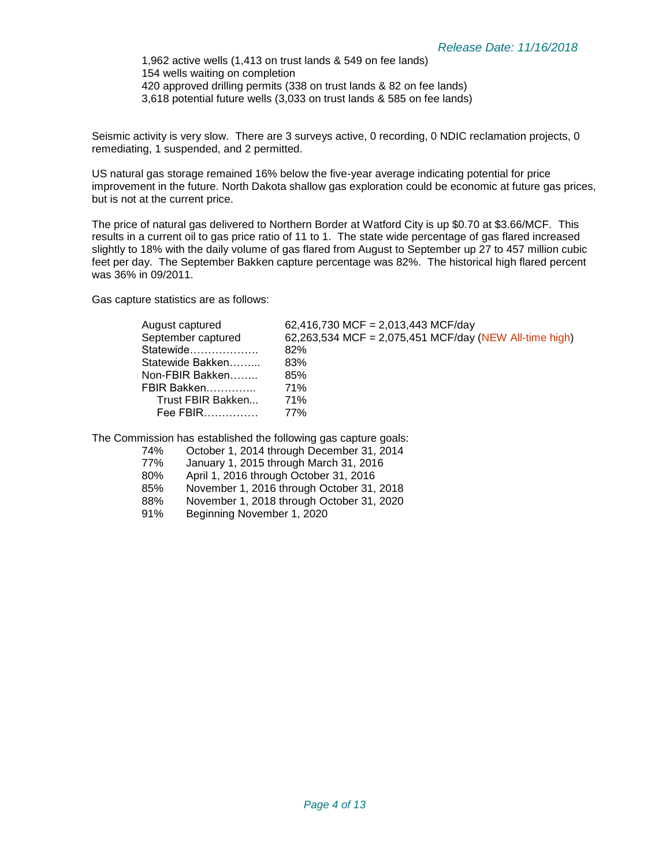1,962 active wells (1,413 on trust lands & 549 on fee lands) 154 wells waiting on completion 420 approved drilling permits (338 on trust lands & 82 on fee lands) 3,618 potential future wells (3,033 on trust lands & 585 on fee lands)

Seismic activity is very slow. There are 3 surveys active, 0 recording, 0 NDIC reclamation projects, 0 remediating, 1 suspended, and 2 permitted.

US natural gas storage remained 16% below the five-year average indicating potential for price improvement in the future. North Dakota shallow gas exploration could be economic at future gas prices, but is not at the current price.

The price of natural gas delivered to Northern Border at Watford City is up \$0.70 at \$3.66/MCF. This results in a current oil to gas price ratio of 11 to 1. The state wide percentage of gas flared increased slightly to 18% with the daily volume of gas flared from August to September up 27 to 457 million cubic feet per day. The September Bakken capture percentage was 82%. The historical high flared percent was 36% in 09/2011.

Gas capture statistics are as follows:

| August captured    | 62,416,730 MCF = 2,013,443 MCF/day                     |
|--------------------|--------------------------------------------------------|
| September captured | 62,263,534 MCF = 2,075,451 MCF/day (NEW All-time high) |
| Statewide          | 82%                                                    |
| Statewide Bakken   | 83%                                                    |
| Non-FBIR Bakken    | 85%                                                    |
| FBIR Bakken        | 71%                                                    |
| Trust FBIR Bakken  | 71%                                                    |
| Fee FBIR           | 77%                                                    |
|                    |                                                        |

The Commission has established the following gas capture goals:

- 74% October 1, 2014 through December 31, 2014
- January 1, 2015 through March 31, 2016
- 80% April 1, 2016 through October 31, 2016
- 85% November 1, 2016 through October 31, 2018
- 88% November 1, 2018 through October 31, 2020
- 91% Beginning November 1, 2020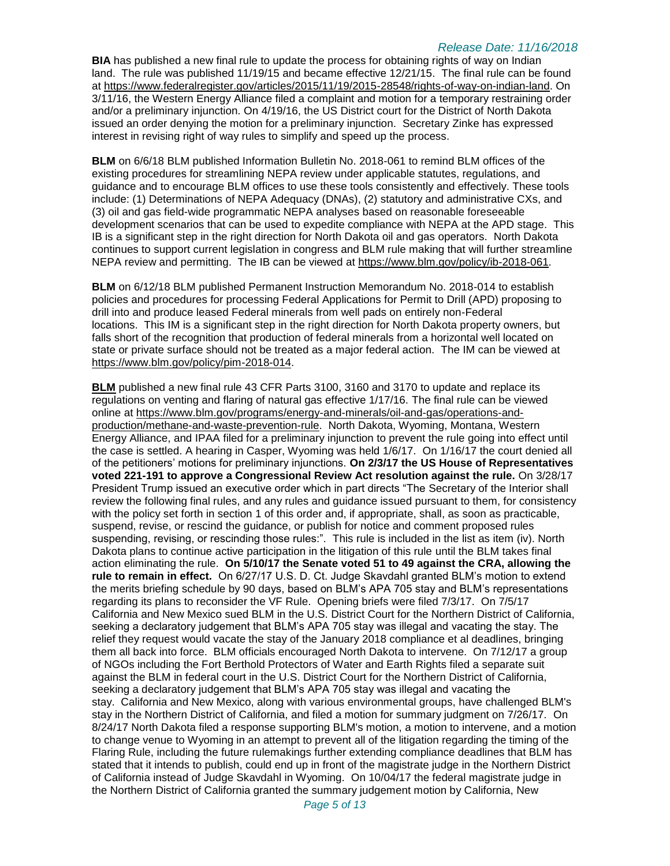**BIA** has published a new final rule to update the process for obtaining rights of way on Indian land. The rule was published 11/19/15 and became effective 12/21/15. The final rule can be found at [https://www.federalregister.gov/articles/2015/11/19/2015-28548/rights-of-way-on-indian-land.](https://www.federalregister.gov/articles/2015/11/19/2015-28548/rights-of-way-on-indian-land) On 3/11/16, the Western Energy Alliance filed a complaint and motion for a temporary restraining order and/or a preliminary injunction. On 4/19/16, the US District court for the District of North Dakota issued an order denying the motion for a preliminary injunction. Secretary Zinke has expressed interest in revising right of way rules to simplify and speed up the process.

**BLM** on 6/6/18 BLM published Information Bulletin No. 2018-061 to remind BLM offices of the existing procedures for streamlining NEPA review under applicable statutes, regulations, and guidance and to encourage BLM offices to use these tools consistently and effectively. These tools include: (1) Determinations of NEPA Adequacy (DNAs), (2) statutory and administrative CXs, and (3) oil and gas field-wide programmatic NEPA analyses based on reasonable foreseeable development scenarios that can be used to expedite compliance with NEPA at the APD stage. This IB is a significant step in the right direction for North Dakota oil and gas operators. North Dakota continues to support current legislation in congress and BLM rule making that will further streamline NEPA review and permitting. The IB can be viewed at [https://www.blm.gov/policy/ib-2018-061.](https://www.blm.gov/policy/ib-2018-061)

**BLM** on 6/12/18 BLM published Permanent Instruction Memorandum No. 2018-014 to establish policies and procedures for processing Federal Applications for Permit to Drill (APD) proposing to drill into and produce leased Federal minerals from well pads on entirely non-Federal locations. This IM is a significant step in the right direction for North Dakota property owners, but falls short of the recognition that production of federal minerals from a horizontal well located on state or private surface should not be treated as a major federal action. The IM can be viewed at [https://www.blm.gov/policy/pim-2018-014.](https://www.blm.gov/policy/pim-2018-014)

**BLM** published a new final rule 43 CFR Parts 3100, 3160 and 3170 to update and replace its regulations on venting and flaring of natural gas effective 1/17/16. The final rule can be viewed online at [https://www.blm.gov/programs/energy-and-minerals/oil-and-gas/operations-and](https://www.blm.gov/programs/energy-and-minerals/oil-and-gas/operations-and-production/methane-and-waste-prevention-rule)[production/methane-and-waste-prevention-rule.](https://www.blm.gov/programs/energy-and-minerals/oil-and-gas/operations-and-production/methane-and-waste-prevention-rule) North Dakota, Wyoming, Montana, Western Energy Alliance, and IPAA filed for a preliminary injunction to prevent the rule going into effect until the case is settled. A hearing in Casper, Wyoming was held 1/6/17. On 1/16/17 the court denied all of the petitioners' motions for preliminary injunctions. **On 2/3/17 the US House of Representatives voted 221-191 to approve a Congressional Review Act resolution against the rule.** On 3/28/17 President Trump issued an executive order which in part directs "The Secretary of the Interior shall review the following final rules, and any rules and guidance issued pursuant to them, for consistency with the policy set forth in section 1 of this order and, if appropriate, shall, as soon as practicable, suspend, revise, or rescind the guidance, or publish for notice and comment proposed rules suspending, revising, or rescinding those rules:". This rule is included in the list as item (iv). North Dakota plans to continue active participation in the litigation of this rule until the BLM takes final action eliminating the rule. **On 5/10/17 the Senate voted 51 to 49 against the CRA, allowing the rule to remain in effect.** On 6/27/17 U.S. D. Ct. Judge Skavdahl granted BLM's motion to extend the merits briefing schedule by 90 days, based on BLM's APA 705 stay and BLM's representations regarding its plans to reconsider the VF Rule. Opening briefs were filed 7/3/17. On 7/5/17 California and New Mexico sued BLM in the U.S. District Court for the Northern District of California, seeking a declaratory judgement that BLM's APA 705 stay was illegal and vacating the stay. The relief they request would vacate the stay of the January 2018 compliance et al deadlines, bringing them all back into force. BLM officials encouraged North Dakota to intervene. On 7/12/17 a group of NGOs including the Fort Berthold Protectors of Water and Earth Rights filed a separate suit against the BLM in federal court in the U.S. District Court for the Northern District of California, seeking a declaratory judgement that BLM's APA 705 stay was illegal and vacating the stay. California and New Mexico, along with various environmental groups, have challenged BLM's stay in the Northern District of California, and filed a motion for summary judgment on 7/26/17. On 8/24/17 North Dakota filed a response supporting BLM's motion, a motion to intervene, and a motion to change venue to Wyoming in an attempt to prevent all of the litigation regarding the timing of the Flaring Rule, including the future rulemakings further extending compliance deadlines that BLM has stated that it intends to publish, could end up in front of the magistrate judge in the Northern District of California instead of Judge Skavdahl in Wyoming. On 10/04/17 the federal magistrate judge in the Northern District of California granted the summary judgement motion by California, New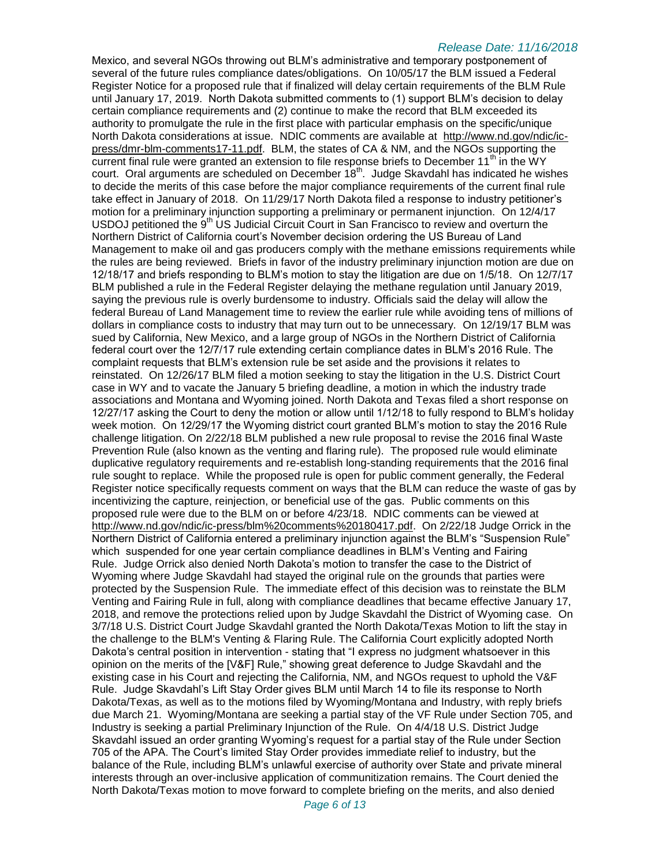Mexico, and several NGOs throwing out BLM's administrative and temporary postponement of several of the future rules compliance dates/obligations. On 10/05/17 the BLM issued a Federal Register Notice for a proposed rule that if finalized will delay certain requirements of the BLM Rule until January 17, 2019. North Dakota submitted comments to (1) support BLM's decision to delay certain compliance requirements and (2) continue to make the record that BLM exceeded its authority to promulgate the rule in the first place with particular emphasis on the specific/unique North Dakota considerations at issue. NDIC comments are available at [http://www.nd.gov/ndic/ic](http://www.nd.gov/ndic/ic-press/dmr-blm-comments17-11.pdf)[press/dmr-blm-comments17-11.pdf.](http://www.nd.gov/ndic/ic-press/dmr-blm-comments17-11.pdf) BLM, the states of CA & NM, and the NGOs supporting the current final rule were granted an extension to file response briefs to December  $11<sup>th</sup>$  in the WY court. Oral arguments are scheduled on December  $18^{th}$ . Judge Skavdahl has indicated he wishes to decide the merits of this case before the major compliance requirements of the current final rule take effect in January of 2018. On 11/29/17 North Dakota filed a response to industry petitioner's motion for a preliminary injunction supporting a preliminary or permanent injunction. On 12/4/17 USDOJ petitioned the 9<sup>th</sup> US Judicial Circuit Court in San Francisco to review and overturn the Northern District of California court's November decision ordering the US Bureau of Land Management to make oil and gas producers comply with the methane emissions requirements while the rules are being reviewed. Briefs in favor of the industry preliminary injunction motion are due on 12/18/17 and briefs responding to BLM's motion to stay the litigation are due on 1/5/18. On 12/7/17 BLM published a rule in the Federal Register delaying the methane regulation until January 2019, saying the previous rule is overly burdensome to industry. Officials said the delay will allow the federal Bureau of Land Management time to review the earlier rule while avoiding tens of millions of dollars in compliance costs to industry that may turn out to be unnecessary. On 12/19/17 BLM was sued by California, New Mexico, and a large group of NGOs in the Northern District of California federal court over the 12/7/17 rule extending certain compliance dates in BLM's 2016 Rule. The complaint requests that BLM's extension rule be set aside and the provisions it relates to reinstated. On 12/26/17 BLM filed a motion seeking to stay the litigation in the U.S. District Court case in WY and to vacate the January 5 briefing deadline, a motion in which the industry trade associations and Montana and Wyoming joined. North Dakota and Texas filed a short response on 12/27/17 asking the Court to deny the motion or allow until 1/12/18 to fully respond to BLM's holiday week motion. On 12/29/17 the Wyoming district court granted BLM's motion to stay the 2016 Rule challenge litigation. On 2/22/18 BLM published a new rule proposal to revise the 2016 final Waste Prevention Rule (also known as the venting and flaring rule). The proposed rule would eliminate duplicative regulatory requirements and re-establish long-standing requirements that the 2016 final rule sought to replace. While the proposed rule is open for public comment generally, the Federal Register notice specifically requests comment on ways that the BLM can reduce the waste of gas by incentivizing the capture, reinjection, or beneficial use of the gas. Public comments on this proposed rule were due to the BLM on or before 4/23/18. NDIC comments can be viewed at [http://www.nd.gov/ndic/ic-press/blm%20comments%20180417.pdf.](http://www.nd.gov/ndic/ic-press/blm%20comments%20180417.pdf) On 2/22/18 Judge Orrick in the Northern District of California entered a preliminary injunction against the BLM's "Suspension Rule" which suspended for one year certain compliance deadlines in BLM's Venting and Fairing Rule. Judge Orrick also denied North Dakota's motion to transfer the case to the District of Wyoming where Judge Skavdahl had stayed the original rule on the grounds that parties were protected by the Suspension Rule. The immediate effect of this decision was to reinstate the BLM Venting and Fairing Rule in full, along with compliance deadlines that became effective January 17, 2018, and remove the protections relied upon by Judge Skavdahl the District of Wyoming case. On 3/7/18 U.S. District Court Judge Skavdahl granted the North Dakota/Texas Motion to lift the stay in the challenge to the BLM's Venting & Flaring Rule. The California Court explicitly adopted North Dakota's central position in intervention - stating that "I express no judgment whatsoever in this opinion on the merits of the [V&F] Rule," showing great deference to Judge Skavdahl and the existing case in his Court and rejecting the California, NM, and NGOs request to uphold the V&F Rule. Judge Skavdahl's Lift Stay Order gives BLM until March 14 to file its response to North Dakota/Texas, as well as to the motions filed by Wyoming/Montana and Industry, with reply briefs due March 21. Wyoming/Montana are seeking a partial stay of the VF Rule under Section 705, and Industry is seeking a partial Preliminary Injunction of the Rule. On 4/4/18 U.S. District Judge Skavdahl issued an order granting Wyoming's request for a partial stay of the Rule under Section 705 of the APA. The Court's limited Stay Order provides immediate relief to industry, but the balance of the Rule, including BLM's unlawful exercise of authority over State and private mineral interests through an over-inclusive application of communitization remains. The Court denied the North Dakota/Texas motion to move forward to complete briefing on the merits, and also denied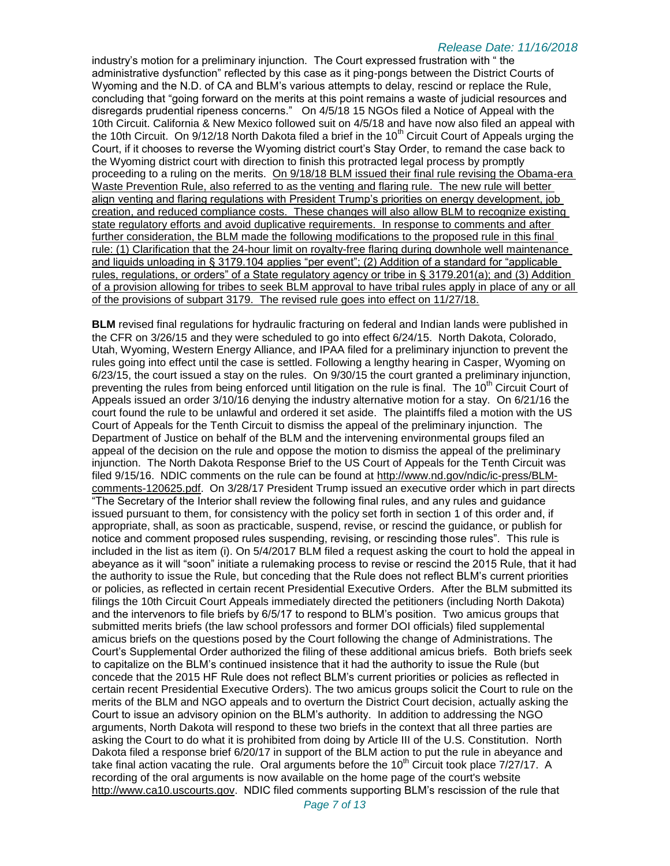industry's motion for a preliminary injunction. The Court expressed frustration with " the administrative dysfunction" reflected by this case as it ping-pongs between the District Courts of Wyoming and the N.D. of CA and BLM's various attempts to delay, rescind or replace the Rule, concluding that "going forward on the merits at this point remains a waste of judicial resources and disregards prudential ripeness concerns." On 4/5/18 15 NGOs filed a Notice of Appeal with the 10th Circuit. California & New Mexico followed suit on 4/5/18 and have now also filed an appeal with the 10th Circuit. On 9/12/18 North Dakota filed a brief in the 10<sup>th</sup> Circuit Court of Appeals urging the Court, if it chooses to reverse the Wyoming district court's Stay Order, to remand the case back to the Wyoming district court with direction to finish this protracted legal process by promptly proceeding to a ruling on the merits. On 9/18/18 BLM issued their final rule revising the Obama-era Waste Prevention Rule, also referred to as the venting and flaring rule. The new rule will better align venting and flaring regulations with President Trump's priorities on energy development, job creation, and reduced compliance costs. These changes will also allow BLM to recognize existing state regulatory efforts and avoid duplicative requirements. In response to comments and after further consideration, the BLM made the following modifications to the proposed rule in this final rule: (1) Clarification that the 24-hour limit on royalty-free flaring during downhole well maintenance and liquids unloading in § 3179.104 applies "per event"; (2) Addition of a standard for "applicable rules, regulations, or orders" of a State regulatory agency or tribe in § 3179.201(a); and (3) Addition of a provision allowing for tribes to seek BLM approval to have tribal rules apply in place of any or all of the provisions of subpart 3179. The revised rule goes into effect on 11/27/18.

**BLM** revised final regulations for hydraulic fracturing on federal and Indian lands were published in the CFR on 3/26/15 and they were scheduled to go into effect 6/24/15. North Dakota, Colorado, Utah, Wyoming, Western Energy Alliance, and IPAA filed for a preliminary injunction to prevent the rules going into effect until the case is settled. Following a lengthy hearing in Casper, Wyoming on 6/23/15, the court issued a stay on the rules. On 9/30/15 the court granted a preliminary injunction, preventing the rules from being enforced until litigation on the rule is final. The 10<sup>th</sup> Circuit Court of Appeals issued an order 3/10/16 denying the industry alternative motion for a stay. On 6/21/16 the court found the rule to be unlawful and ordered it set aside. The plaintiffs filed a motion with the US Court of Appeals for the Tenth Circuit to dismiss the appeal of the preliminary injunction. The Department of Justice on behalf of the BLM and the intervening environmental groups filed an appeal of the decision on the rule and oppose the motion to dismiss the appeal of the preliminary injunction. The North Dakota Response Brief to the US Court of Appeals for the Tenth Circuit was filed 9/15/16. NDIC comments on the rule can be found at [http://www.nd.gov/ndic/ic-press/BLM](http://www.nd.gov/ndic/ic-press/BLM-comments-120625.pdf)[comments-120625.pdf.](http://www.nd.gov/ndic/ic-press/BLM-comments-120625.pdf) On 3/28/17 President Trump issued an executive order which in part directs "The Secretary of the Interior shall review the following final rules, and any rules and guidance issued pursuant to them, for consistency with the policy set forth in section 1 of this order and, if appropriate, shall, as soon as practicable, suspend, revise, or rescind the guidance, or publish for notice and comment proposed rules suspending, revising, or rescinding those rules". This rule is included in the list as item (i). On 5/4/2017 BLM filed a request asking the court to hold the appeal in abeyance as it will "soon" initiate a rulemaking process to revise or rescind the 2015 Rule, that it had the authority to issue the Rule, but conceding that the Rule does not reflect BLM's current priorities or policies, as reflected in certain recent Presidential Executive Orders. After the BLM submitted its filings the 10th Circuit Court Appeals immediately directed the petitioners (including North Dakota) and the intervenors to file briefs by 6/5/17 to respond to BLM's position. Two amicus groups that submitted merits briefs (the law school professors and former DOI officials) filed supplemental amicus briefs on the questions posed by the Court following the change of Administrations. The Court's Supplemental Order authorized the filing of these additional amicus briefs. Both briefs seek to capitalize on the BLM's continued insistence that it had the authority to issue the Rule (but concede that the 2015 HF Rule does not reflect BLM's current priorities or policies as reflected in certain recent Presidential Executive Orders). The two amicus groups solicit the Court to rule on the merits of the BLM and NGO appeals and to overturn the District Court decision, actually asking the Court to issue an advisory opinion on the BLM's authority. In addition to addressing the NGO arguments, North Dakota will respond to these two briefs in the context that all three parties are asking the Court to do what it is prohibited from doing by Article III of the U.S. Constitution. North Dakota filed a response brief 6/20/17 in support of the BLM action to put the rule in abeyance and take final action vacating the rule. Oral arguments before the  $10<sup>th</sup>$  Circuit took place  $7/27/17$ . A recording of the oral arguments is now available on the home page of the court's website [http://www.ca10.uscourts.gov.](https://urldefense.proofpoint.com/v2/url?u=http-3A__www.ca10.uscourts.gov&d=DwMGaQ&c=2s2mvbfY0UoSKkl6_Ol9wg&r=-wqsZnBxny594KY8HeElow&m=Ul_VtJUX6iW5pvHjCcBxUWtskC0F4Dhry3sPtcEHvCw&s=laRHiLDv5w8otcQWQjpn82WMieoB2AZ-Q4M1LFQPL5s&e=) NDIC filed comments supporting BLM's rescission of the rule that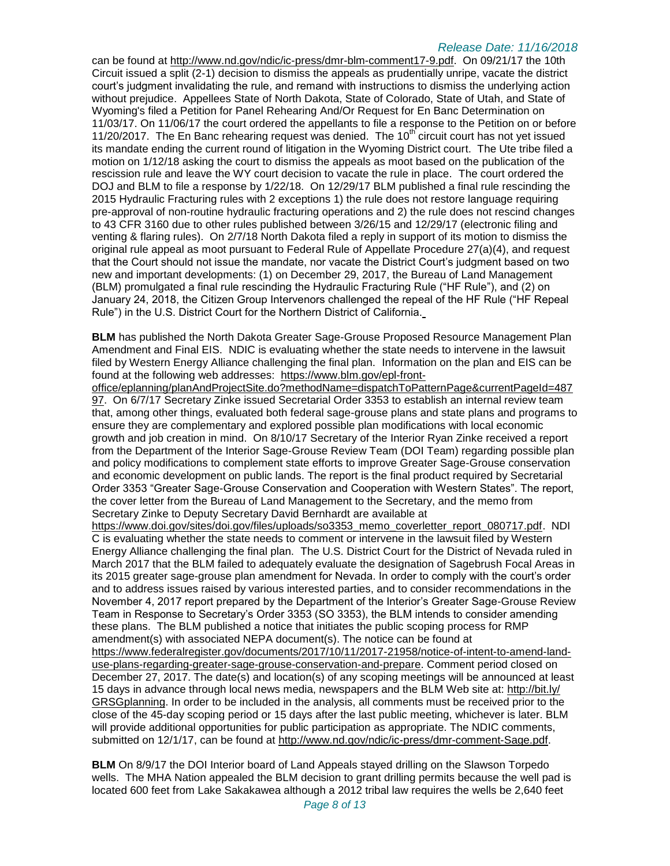can be found at [http://www.nd.gov/ndic/ic-press/dmr-blm-comment17-9.pdf.](http://www.nd.gov/ndic/ic-press/dmr-blm-comment17-9.pdf) On 09/21/17 the 10th Circuit issued a split (2-1) decision to dismiss the appeals as prudentially unripe, vacate the district court's judgment invalidating the rule, and remand with instructions to dismiss the underlying action without prejudice. Appellees State of North Dakota, State of Colorado, State of Utah, and State of Wyoming's filed a Petition for Panel Rehearing And/Or Request for En Banc Determination on 11/03/17. On 11/06/17 the court ordered the appellants to file a response to the Petition on or before 11/20/2017. The En Banc rehearing request was denied. The  $10<sup>th</sup>$  circuit court has not yet issued its mandate ending the current round of litigation in the Wyoming District court. The Ute tribe filed a motion on 1/12/18 asking the court to dismiss the appeals as moot based on the publication of the rescission rule and leave the WY court decision to vacate the rule in place. The court ordered the DOJ and BLM to file a response by 1/22/18. On 12/29/17 BLM published a final rule rescinding the 2015 Hydraulic Fracturing rules with 2 exceptions 1) the rule does not restore language requiring pre-approval of non-routine hydraulic fracturing operations and 2) the rule does not rescind changes to 43 CFR 3160 due to other rules published between 3/26/15 and 12/29/17 (electronic filing and venting & flaring rules). On 2/7/18 North Dakota filed a reply in support of its motion to dismiss the original rule appeal as moot pursuant to Federal Rule of Appellate Procedure 27(a)(4), and request that the Court should not issue the mandate, nor vacate the District Court's judgment based on two new and important developments: (1) on December 29, 2017, the Bureau of Land Management (BLM) promulgated a final rule rescinding the Hydraulic Fracturing Rule ("HF Rule"), and (2) on January 24, 2018, the Citizen Group Intervenors challenged the repeal of the HF Rule ("HF Repeal Rule") in the U.S. District Court for the Northern District of California.

**BLM** has published the North Dakota Greater Sage-Grouse Proposed Resource Management Plan Amendment and Final EIS. NDIC is evaluating whether the state needs to intervene in the lawsuit filed by Western Energy Alliance challenging the final plan. Information on the plan and EIS can be found at the following web addresses: [https://www.blm.gov/epl-front-](https://www.blm.gov/epl-front-office/eplanning/planAndProjectSite.do?methodName=dispatchToPatternPage¤tPageId=48797)

[office/eplanning/planAndProjectSite.do?methodName=dispatchToPatternPage&currentPageId=487](https://www.blm.gov/epl-front-office/eplanning/planAndProjectSite.do?methodName=dispatchToPatternPage¤tPageId=48797) [97.](https://www.blm.gov/epl-front-office/eplanning/planAndProjectSite.do?methodName=dispatchToPatternPage¤tPageId=48797) On 6/7/17 Secretary Zinke issued Secretarial Order 3353 to establish an internal review team that, among other things, evaluated both federal sage-grouse plans and state plans and programs to ensure they are complementary and explored possible plan modifications with local economic growth and job creation in mind. On 8/10/17 Secretary of the Interior Ryan Zinke received a report from the Department of the Interior Sage-Grouse Review Team (DOI Team) regarding possible plan and policy modifications to complement state efforts to improve Greater Sage-Grouse conservation and economic development on public lands. The report is the final product required by Secretarial Order 3353 "Greater Sage-Grouse Conservation and Cooperation with Western States". The report, the cover letter from the Bureau of Land Management to the Secretary, and the memo from Secretary Zinke to Deputy Secretary David Bernhardt are available at

[https://www.doi.gov/sites/doi.gov/files/uploads/so3353\\_memo\\_coverletter\\_report\\_080717.pdf.](https://www.doi.gov/sites/doi.gov/files/uploads/so3353_memo_coverletter_report_080717.pdf) NDI C is evaluating whether the state needs to comment or intervene in the lawsuit filed by Western Energy Alliance challenging the final plan. The U.S. District Court for the District of Nevada ruled in March 2017 that the BLM failed to adequately evaluate the designation of Sagebrush Focal Areas in its 2015 greater sage-grouse plan amendment for Nevada. In order to comply with the court's order and to address issues raised by various interested parties, and to consider recommendations in the November 4, 2017 report prepared by the Department of the Interior's Greater Sage-Grouse Review Team in Response to Secretary's Order 3353 (SO 3353), the BLM intends to consider amending these plans. The BLM published a notice that initiates the public scoping process for RMP amendment(s) with associated NEPA document(s). The notice can be found at [https://www.federalregister.gov/documents/2017/10/11/2017-21958/notice-of-intent-to-amend-land](https://www.federalregister.gov/documents/2017/10/11/2017-21958/notice-of-intent-to-amend-land-use-plans-regarding-greater-sage-grouse-conservation-and-prepare)[use-plans-regarding-greater-sage-grouse-conservation-and-prepare.](https://www.federalregister.gov/documents/2017/10/11/2017-21958/notice-of-intent-to-amend-land-use-plans-regarding-greater-sage-grouse-conservation-and-prepare) Comment period closed on December 27, 2017. The date(s) and location(s) of any scoping meetings will be announced at least 15 days in advance through local news media, newspapers and the BLM Web site at: [http://bit.ly/](http://bit.ly/​GRSGplanning) [GRSGplanning.](http://bit.ly/​GRSGplanning) In order to be included in the analysis, all comments must be received prior to the close of the 45-day scoping period or 15 days after the last public meeting, whichever is later. BLM will provide additional opportunities for public participation as appropriate. The NDIC comments,

**BLM** On 8/9/17 the DOI Interior board of Land Appeals stayed drilling on the Slawson Torpedo wells. The MHA Nation appealed the BLM decision to grant drilling permits because the well pad is located 600 feet from Lake Sakakawea although a 2012 tribal law requires the wells be 2,640 feet

submitted on 12/1/17, can be found at [http://www.nd.gov/ndic/ic-press/dmr-comment-Sage.pdf.](http://www.nd.gov/ndic/ic-press/dmr-comment-Sage.pdf)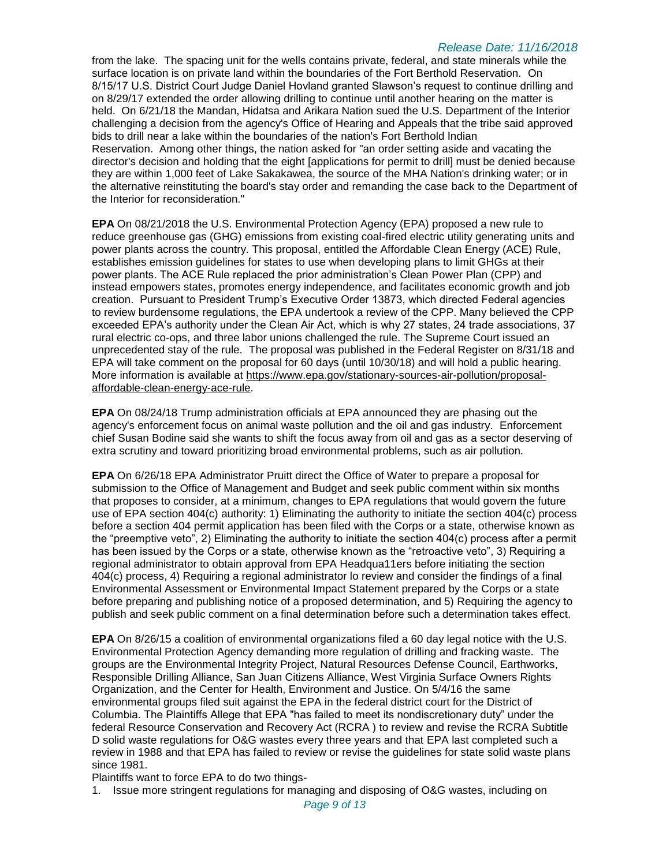from the lake. The spacing unit for the wells contains private, federal, and state minerals while the surface location is on private land within the boundaries of the Fort Berthold Reservation. On 8/15/17 U.S. District Court Judge Daniel Hovland granted Slawson's request to continue drilling and on 8/29/17 extended the order allowing drilling to continue until another hearing on the matter is held. On 6/21/18 the Mandan, Hidatsa and Arikara Nation sued the U.S. Department of the Interior challenging a decision from the agency's Office of Hearing and Appeals that the tribe said approved bids to drill near a lake within the boundaries of the nation's Fort Berthold Indian Reservation. Among other things, the nation asked for "an order setting aside and vacating the director's decision and holding that the eight [applications for permit to drill] must be denied because they are within 1,000 feet of Lake Sakakawea, the source of the MHA Nation's drinking water; or in the alternative reinstituting the board's stay order and remanding the case back to the Department of the Interior for reconsideration."

**EPA** On 08/21/2018 the U.S. Environmental Protection Agency (EPA) proposed a new rule to reduce greenhouse gas (GHG) emissions from existing coal-fired electric utility generating units and power plants across the country. This proposal, entitled the Affordable Clean Energy (ACE) Rule, establishes emission guidelines for states to use when developing plans to limit GHGs at their power plants. The ACE Rule replaced the prior administration's Clean Power Plan (CPP) and instead empowers states, promotes energy independence, and facilitates economic growth and job creation. Pursuant to President Trump's Executive Order 13873, which directed Federal agencies to review burdensome regulations, the EPA undertook a review of the CPP. Many believed the CPP exceeded EPA's authority under the Clean Air Act, which is why 27 states, 24 trade associations, 37 rural electric co-ops, and three labor unions challenged the rule. The Supreme Court issued an unprecedented stay of the rule. The proposal was published in the Federal Register on 8/31/18 and EPA will take comment on the proposal for 60 days (until 10/30/18) and will hold a public hearing. More information is available at [https://www.epa.gov/stationary-sources-air-pollution/proposal](https://www.epa.gov/stationary-sources-air-pollution/proposal-affordable-clean-energy-ace-rule)[affordable-clean-energy-ace-rule.](https://www.epa.gov/stationary-sources-air-pollution/proposal-affordable-clean-energy-ace-rule)

**EPA** On 08/24/18 Trump administration officials at EPA announced they are phasing out the agency's enforcement focus on animal waste pollution and the oil and gas industry. Enforcement chief Susan Bodine said she wants to shift the focus away from oil and gas as a sector deserving of extra scrutiny and toward prioritizing broad environmental problems, such as air pollution.

**EPA** On 6/26/18 EPA Administrator Pruitt direct the Office of Water to prepare a proposal for submission to the Office of Management and Budget and seek public comment within six months that proposes to consider, at a minimum, changes to EPA regulations that would govern the future use of EPA section 404(c) authority: 1) Eliminating the authority to initiate the section 404(c) process before a section 404 permit application has been filed with the Corps or a state, otherwise known as the "preemptive veto", 2) Eliminating the authority to initiate the section 404(c) process after a permit has been issued by the Corps or a state, otherwise known as the "retroactive veto", 3) Requiring a regional administrator to obtain approval from EPA Headqua11ers before initiating the section 404(c) process, 4) Requiring a regional administrator lo review and consider the findings of a final Environmental Assessment or Environmental Impact Statement prepared by the Corps or a state before preparing and publishing notice of a proposed determination, and 5) Requiring the agency to publish and seek public comment on a final determination before such a determination takes effect.

**EPA** On 8/26/15 a coalition of environmental organizations filed a 60 day legal notice with the U.S. Environmental Protection Agency demanding more regulation of drilling and fracking waste. The groups are the Environmental Integrity Project, Natural Resources Defense Council, Earthworks, Responsible Drilling Alliance, San Juan Citizens Alliance, West Virginia Surface Owners Rights Organization, and the Center for Health, Environment and Justice. On 5/4/16 the same environmental groups filed suit against the EPA in the federal district court for the District of Columbia. The Plaintiffs Allege that EPA "has failed to meet its nondiscretionary duty" under the federal Resource Conservation and Recovery Act (RCRA ) to review and revise the RCRA Subtitle D solid waste regulations for O&G wastes every three years and that EPA last completed such a review in 1988 and that EPA has failed to review or revise the guidelines for state solid waste plans since 1981.

Plaintiffs want to force EPA to do two things-

1. Issue more stringent regulations for managing and disposing of O&G wastes, including on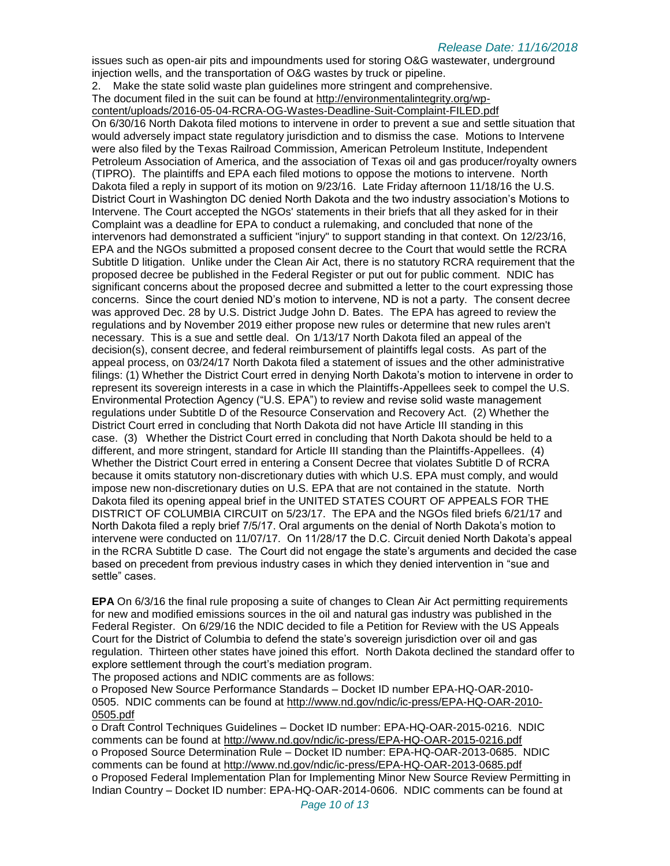issues such as open-air pits and impoundments used for storing O&G wastewater, underground injection wells, and the transportation of O&G wastes by truck or pipeline.

2. Make the state solid waste plan guidelines more stringent and comprehensive. The document filed in the suit can be found at [http://environmentalintegrity.org/wp](http://environmentalintegrity.org/wp-content/uploads/2016-05-04-RCRA-OG-Wastes-Deadline-Suit-Complaint-FILED.pdf)[content/uploads/2016-05-04-RCRA-OG-Wastes-Deadline-Suit-Complaint-FILED.pdf](http://environmentalintegrity.org/wp-content/uploads/2016-05-04-RCRA-OG-Wastes-Deadline-Suit-Complaint-FILED.pdf) On 6/30/16 North Dakota filed motions to intervene in order to prevent a sue and settle situation that would adversely impact state regulatory jurisdiction and to dismiss the case. Motions to Intervene were also filed by the Texas Railroad Commission, American Petroleum Institute, Independent Petroleum Association of America, and the association of Texas oil and gas producer/royalty owners (TIPRO). The plaintiffs and EPA each filed motions to oppose the motions to intervene. North Dakota filed a reply in support of its motion on 9/23/16. Late Friday afternoon 11/18/16 the U.S. District Court in Washington DC denied North Dakota and the two industry association's Motions to Intervene. The Court accepted the NGOs' statements in their briefs that all they asked for in their Complaint was a deadline for EPA to conduct a rulemaking, and concluded that none of the intervenors had demonstrated a sufficient "injury" to support standing in that context. On 12/23/16, EPA and the NGOs submitted a proposed consent decree to the Court that would settle the RCRA Subtitle D litigation. Unlike under the Clean Air Act, there is no statutory RCRA requirement that the proposed decree be published in the Federal Register or put out for public comment. NDIC has significant concerns about the proposed decree and submitted a letter to the court expressing those concerns. Since the court denied ND's motion to intervene, ND is not a party. The consent decree was approved Dec. 28 by U.S. District Judge John D. Bates. The EPA has agreed to review the regulations and by November 2019 either propose new rules or determine that new rules aren't necessary. This is a sue and settle deal. On 1/13/17 North Dakota filed an appeal of the decision(s), consent decree, and federal reimbursement of plaintiffs legal costs. As part of the appeal process, on 03/24/17 North Dakota filed a statement of issues and the other administrative filings: (1) Whether the District Court erred in denying North Dakota's motion to intervene in order to represent its sovereign interests in a case in which the Plaintiffs-Appellees seek to compel the U.S. Environmental Protection Agency ("U.S. EPA") to review and revise solid waste management regulations under Subtitle D of the Resource Conservation and Recovery Act. (2) Whether the District Court erred in concluding that North Dakota did not have Article III standing in this case. (3) Whether the District Court erred in concluding that North Dakota should be held to a different, and more stringent, standard for Article III standing than the Plaintiffs-Appellees. (4) Whether the District Court erred in entering a Consent Decree that violates Subtitle D of RCRA because it omits statutory non-discretionary duties with which U.S. EPA must comply, and would impose new non-discretionary duties on U.S. EPA that are not contained in the statute. North Dakota filed its opening appeal brief in the UNITED STATES COURT OF APPEALS FOR THE DISTRICT OF COLUMBIA CIRCUIT on 5/23/17. The EPA and the NGOs filed briefs 6/21/17 and North Dakota filed a reply brief 7/5/17. Oral arguments on the denial of North Dakota's motion to intervene were conducted on 11/07/17. On 11/28/17 the D.C. Circuit denied North Dakota's appeal in the RCRA Subtitle D case. The Court did not engage the state's arguments and decided the case based on precedent from previous industry cases in which they denied intervention in "sue and settle" cases.

**EPA** On 6/3/16 the final rule proposing a suite of changes to Clean Air Act permitting requirements for new and modified emissions sources in the oil and natural gas industry was published in the Federal Register. On 6/29/16 the NDIC decided to file a Petition for Review with the US Appeals Court for the District of Columbia to defend the state's sovereign jurisdiction over oil and gas regulation. Thirteen other states have joined this effort. North Dakota declined the standard offer to explore settlement through the court's mediation program.

The proposed actions and NDIC comments are as follows:

o Proposed New Source Performance Standards – Docket ID number EPA-HQ-OAR-2010- 0505. NDIC comments can be found at [http://www.nd.gov/ndic/ic-press/EPA-HQ-OAR-2010-](http://www.nd.gov/ndic/ic-press/EPA-HQ-OAR-2010-0505.pdf) [0505.pdf](http://www.nd.gov/ndic/ic-press/EPA-HQ-OAR-2010-0505.pdf)

o Draft Control Techniques Guidelines – Docket ID number: EPA-HQ-OAR-2015-0216. NDIC comments can be found at<http://www.nd.gov/ndic/ic-press/EPA-HQ-OAR-2015-0216.pdf> o Proposed Source Determination Rule – Docket ID number: EPA-HQ-OAR-2013-0685. NDIC comments can be found at<http://www.nd.gov/ndic/ic-press/EPA-HQ-OAR-2013-0685.pdf> o Proposed Federal Implementation Plan for Implementing Minor New Source Review Permitting in Indian Country – Docket ID number: EPA-HQ-OAR-2014-0606. NDIC comments can be found at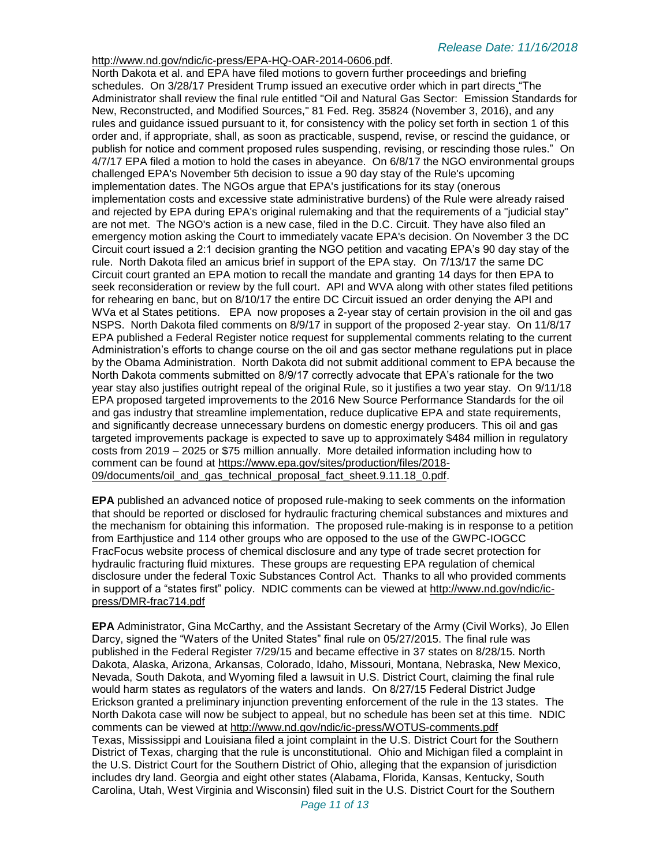#### [http://www.nd.gov/ndic/ic-press/EPA-HQ-OAR-2014-0606.pdf.](http://www.nd.gov/ndic/ic-press/EPA-HQ-OAR-2014-0606.pdf)

North Dakota et al. and EPA have filed motions to govern further proceedings and briefing schedules. On 3/28/17 President Trump issued an executive order which in part directs "The Administrator shall review the final rule entitled "Oil and Natural Gas Sector: Emission Standards for New, Reconstructed, and Modified Sources," 81 Fed. Reg. 35824 (November 3, 2016), and any rules and guidance issued pursuant to it, for consistency with the policy set forth in section 1 of this order and, if appropriate, shall, as soon as practicable, suspend, revise, or rescind the guidance, or publish for notice and comment proposed rules suspending, revising, or rescinding those rules." On 4/7/17 EPA filed a motion to hold the cases in abeyance. On 6/8/17 the NGO environmental groups challenged EPA's November 5th decision to issue a 90 day stay of the Rule's upcoming implementation dates. The NGOs argue that EPA's justifications for its stay (onerous implementation costs and excessive state administrative burdens) of the Rule were already raised and rejected by EPA during EPA's original rulemaking and that the requirements of a "judicial stay" are not met. The NGO's action is a new case, filed in the D.C. Circuit. They have also filed an emergency motion asking the Court to immediately vacate EPA's decision. On November 3 the DC Circuit court issued a 2:1 decision granting the NGO petition and vacating EPA's 90 day stay of the rule. North Dakota filed an amicus brief in support of the EPA stay. On 7/13/17 the same DC Circuit court granted an EPA motion to recall the mandate and granting 14 days for then EPA to seek reconsideration or review by the full court. API and WVA along with other states filed petitions for rehearing en banc, but on 8/10/17 the entire DC Circuit issued an order denying the API and WVa et al States petitions. EPA now proposes a 2-year stay of certain provision in the oil and gas NSPS. North Dakota filed comments on 8/9/17 in support of the proposed 2-year stay. On 11/8/17 EPA published a Federal Register notice request for supplemental comments relating to the current Administration's efforts to change course on the oil and gas sector methane regulations put in place by the Obama Administration. North Dakota did not submit additional comment to EPA because the North Dakota comments submitted on 8/9/17 correctly advocate that EPA's rationale for the two year stay also justifies outright repeal of the original Rule, so it justifies a two year stay. On 9/11/18 EPA proposed targeted improvements to the 2016 New Source Performance Standards for the oil and gas industry that streamline implementation, reduce duplicative EPA and state requirements, and significantly decrease unnecessary burdens on domestic energy producers. This oil and gas targeted improvements package is expected to save up to approximately \$484 million in regulatory costs from 2019 – 2025 or \$75 million annually. More detailed information including how to comment can be found at [https://www.epa.gov/sites/production/files/2018-](https://www.epa.gov/sites/production/files/2018-09/documents/oil_and_gas_technical_proposal_fact_sheet.9.11.18_0.pdf) [09/documents/oil\\_and\\_gas\\_technical\\_proposal\\_fact\\_sheet.9.11.18\\_0.pdf.](https://www.epa.gov/sites/production/files/2018-09/documents/oil_and_gas_technical_proposal_fact_sheet.9.11.18_0.pdf)

**EPA** published an advanced notice of proposed rule-making to seek comments on the information that should be reported or disclosed for hydraulic fracturing chemical substances and mixtures and the mechanism for obtaining this information. The proposed rule-making is in response to a petition from Earthjustice and 114 other groups who are opposed to the use of the GWPC-IOGCC FracFocus website process of chemical disclosure and any type of trade secret protection for hydraulic fracturing fluid mixtures. These groups are requesting EPA regulation of chemical disclosure under the federal Toxic Substances Control Act. Thanks to all who provided comments in support of a "states first" policy. NDIC comments can be viewed at [http://www.nd.gov/ndic/ic](http://www.nd.gov/ndic/ic-press/DMR-frac714.pdf)[press/DMR-frac714.pdf](http://www.nd.gov/ndic/ic-press/DMR-frac714.pdf)

**EPA** Administrator, Gina McCarthy, and the Assistant Secretary of the Army (Civil Works), Jo Ellen Darcy, signed the "Waters of the United States" final rule on 05/27/2015. The final rule was published in the Federal Register 7/29/15 and became effective in 37 states on 8/28/15. North Dakota, Alaska, Arizona, Arkansas, Colorado, Idaho, Missouri, Montana, Nebraska, New Mexico, Nevada, South Dakota, and Wyoming filed a lawsuit in U.S. District Court, claiming the final rule would harm states as regulators of the waters and lands. On 8/27/15 Federal District Judge Erickson granted a preliminary injunction preventing enforcement of the rule in the 13 states. The North Dakota case will now be subject to appeal, but no schedule has been set at this time. NDIC comments can be viewed at<http://www.nd.gov/ndic/ic-press/WOTUS-comments.pdf> Texas, Mississippi and Louisiana filed a joint complaint in the U.S. District Court for the Southern District of Texas, charging that the rule is unconstitutional. Ohio and Michigan filed a complaint in the U.S. District Court for the Southern District of Ohio, alleging that the expansion of jurisdiction includes dry land. Georgia and eight other states (Alabama, Florida, Kansas, Kentucky, South Carolina, Utah, West Virginia and Wisconsin) filed suit in the U.S. District Court for the Southern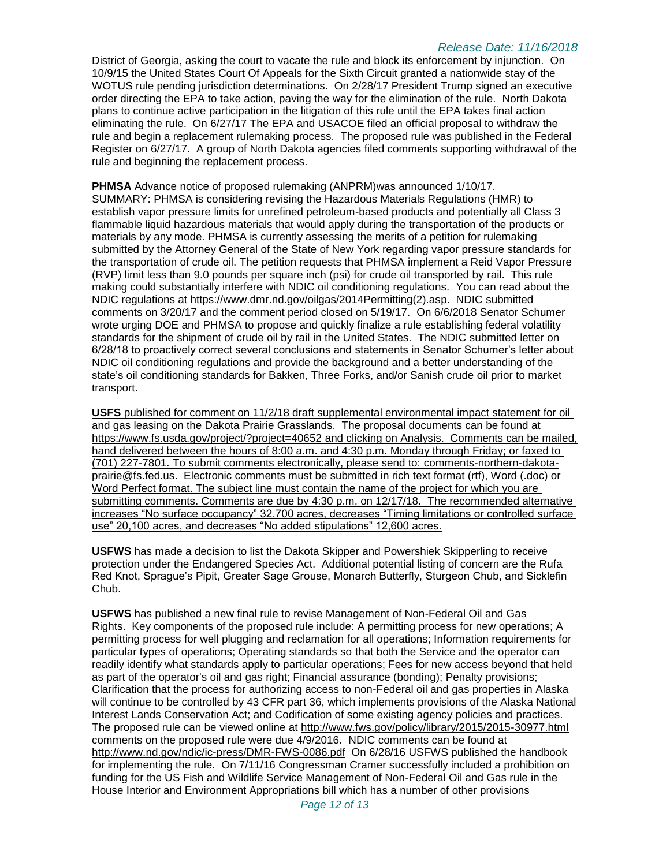District of Georgia, asking the court to vacate the rule and block its enforcement by injunction. On 10/9/15 the United States Court Of Appeals for the Sixth Circuit granted a nationwide stay of the WOTUS rule pending jurisdiction determinations. On 2/28/17 President Trump signed an executive order directing the EPA to take action, paving the way for the elimination of the rule. North Dakota plans to continue active participation in the litigation of this rule until the EPA takes final action eliminating the rule. On 6/27/17 The EPA and USACOE filed an official proposal to withdraw the rule and begin a replacement rulemaking process. The proposed rule was published in the Federal Register on 6/27/17. A group of North Dakota agencies filed comments supporting withdrawal of the rule and beginning the replacement process.

**PHMSA** Advance notice of proposed rulemaking (ANPRM)was announced 1/10/17. SUMMARY: PHMSA is considering revising the Hazardous Materials Regulations (HMR) to establish vapor pressure limits for unrefined petroleum-based products and potentially all Class 3 flammable liquid hazardous materials that would apply during the transportation of the products or materials by any mode. PHMSA is currently assessing the merits of a petition for rulemaking submitted by the Attorney General of the State of New York regarding vapor pressure standards for the transportation of crude oil. The petition requests that PHMSA implement a Reid Vapor Pressure (RVP) limit less than 9.0 pounds per square inch (psi) for crude oil transported by rail. This rule making could substantially interfere with NDIC oil conditioning regulations. You can read about the NDIC regulations at [https://www.dmr.nd.gov/oilgas/2014Permitting\(2\).asp.](https://www.dmr.nd.gov/oilgas/2014Permitting(2).asp) NDIC submitted comments on 3/20/17 and the comment period closed on 5/19/17. On 6/6/2018 Senator Schumer wrote urging DOE and PHMSA to propose and quickly finalize a rule establishing federal volatility standards for the shipment of crude oil by rail in the United States. The NDIC submitted letter on 6/28/18 to proactively correct several conclusions and statements in Senator Schumer's letter about NDIC oil conditioning regulations and provide the background and a better understanding of the state's oil conditioning standards for Bakken, Three Forks, and/or Sanish crude oil prior to market transport.

**USFS** published for comment on 11/2/18 draft supplemental environmental impact statement for oil and gas leasing on the Dakota Prairie Grasslands. The proposal documents can be found at <https://www.fs.usda.gov/project/?project=40652> and clicking on Analysis. Comments can be mailed, hand delivered between the hours of 8:00 a.m. and 4:30 p.m. Monday through Friday; or faxed to (701) 227-7801. To submit comments electronically, please send to: [comments-northern-dakota](mailto:comments-northern-dakota-prairie@fs.fed.us)[prairie@fs.fed.us.](mailto:comments-northern-dakota-prairie@fs.fed.us) Electronic comments must be submitted in rich text format (rtf), Word (.doc) or Word Perfect format. The subject line must contain the name of the project for which you are submitting comments. Comments are due by 4:30 p.m. on 12/17/18. The recommended alternative increases "No surface occupancy" 32,700 acres, decreases "Timing limitations or controlled surface use" 20,100 acres, and decreases "No added stipulations" 12,600 acres.

**USFWS** has made a decision to list the Dakota Skipper and Powershiek Skipperling to receive protection under the Endangered Species Act. Additional potential listing of concern are the Rufa Red Knot, Sprague's Pipit, Greater Sage Grouse, Monarch Butterfly, Sturgeon Chub, and Sicklefin Chub.

**USFWS** has published a new final rule to revise Management of Non-Federal Oil and Gas Rights. Key components of the proposed rule include: A permitting process for new operations; A permitting process for well plugging and reclamation for all operations; Information requirements for particular types of operations; Operating standards so that both the Service and the operator can readily identify what standards apply to particular operations; Fees for new access beyond that held as part of the operator's oil and gas right; Financial assurance (bonding); Penalty provisions; Clarification that the process for authorizing access to non-Federal oil and gas properties in Alaska will continue to be controlled by 43 CFR part 36, which implements provisions of the Alaska National Interest Lands Conservation Act; and Codification of some existing agency policies and practices. The proposed rule can be viewed online at<http://www.fws.gov/policy/library/2015/2015-30977.html> comments on the proposed rule were due 4/9/2016. NDIC comments can be found at <http://www.nd.gov/ndic/ic-press/DMR-FWS-0086.pdf> On 6/28/16 USFWS published the handbook for implementing the rule. On 7/11/16 Congressman Cramer successfully included a prohibition on funding for the US Fish and Wildlife Service Management of Non-Federal Oil and Gas rule in the House Interior and Environment Appropriations bill which has a number of other provisions